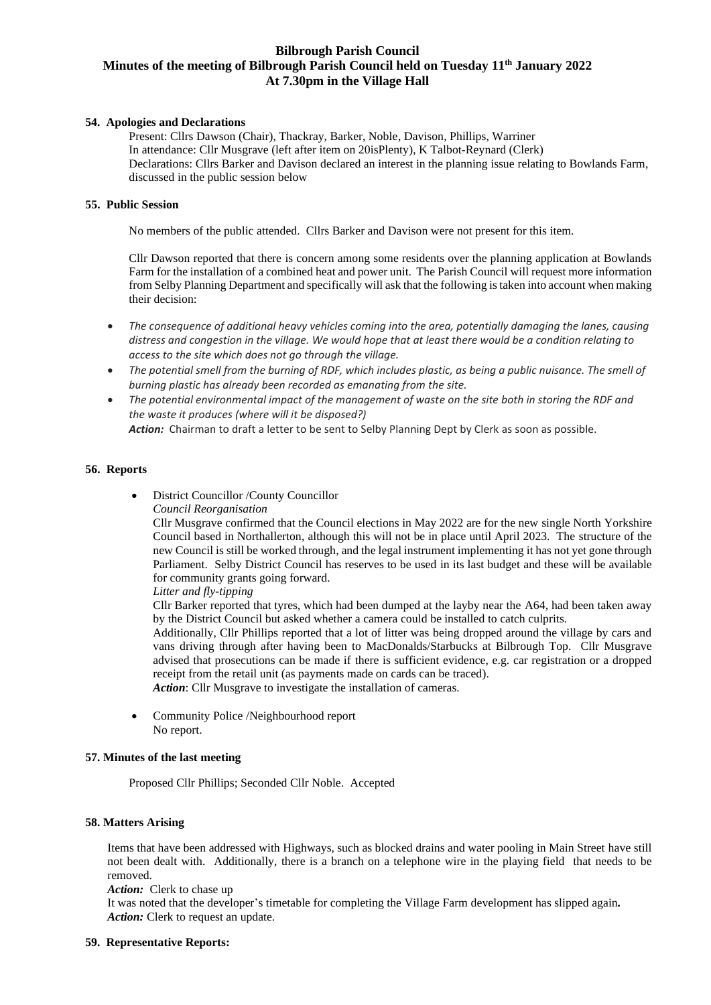# **Bilbrough Parish Council Minutes of the meeting of Bilbrough Parish Council held on Tuesday 11th January 2022 At 7.30pm in the Village Hall**

### **54. Apologies and Declarations**

Present: Cllrs Dawson (Chair), Thackray, Barker, Noble, Davison, Phillips, Warriner In attendance: Cllr Musgrave (left after item on 20isPlenty), K Talbot-Reynard (Clerk) Declarations: Cllrs Barker and Davison declared an interest in the planning issue relating to Bowlands Farm, discussed in the public session below

#### **55. Public Session**

No members of the public attended. Cllrs Barker and Davison were not present for this item.

Cllr Dawson reported that there is concern among some residents over the planning application at Bowlands Farm for the installation of a combined heat and power unit. The Parish Council will request more information from Selby Planning Department and specifically will ask that the following istaken into account when making their decision:

- *The consequence of additional heavy vehicles coming into the area, potentially damaging the lanes, causing distress and congestion in the village. We would hope that at least there would be a condition relating to access to the site which does not go through the village.*
- *The potential smell from the burning of RDF, which includes plastic, as being a public nuisance. The smell of burning plastic has already been recorded as emanating from the site.*
- *The potential environmental impact of the management of waste on the site both in storing the RDF and the waste it produces (where will it be disposed?)*

*Action:* Chairman to draft a letter to be sent to Selby Planning Dept by Clerk as soon as possible.

### **56. Reports**

• District Councillor /County Councillor

*Council Reorganisation*

Cllr Musgrave confirmed that the Council elections in May 2022 are for the new single North Yorkshire Council based in Northallerton, although this will not be in place until April 2023. The structure of the new Council is still be worked through, and the legal instrument implementing it has not yet gone through Parliament. Selby District Council has reserves to be used in its last budget and these will be available for community grants going forward.

*Litter and fly-tipping*

Cllr Barker reported that tyres, which had been dumped at the layby near the A64, had been taken away by the District Council but asked whether a camera could be installed to catch culprits.

Additionally, Cllr Phillips reported that a lot of litter was being dropped around the village by cars and vans driving through after having been to MacDonalds/Starbucks at Bilbrough Top. Cllr Musgrave advised that prosecutions can be made if there is sufficient evidence, e.g. car registration or a dropped receipt from the retail unit (as payments made on cards can be traced).

*Action*: Cllr Musgrave to investigate the installation of cameras.

• Community Police /Neighbourhood report No report.

# **57. Minutes of the last meeting**

Proposed Cllr Phillips; Seconded Cllr Noble. Accepted

#### **58. Matters Arising**

Items that have been addressed with Highways, such as blocked drains and water pooling in Main Street have still not been dealt with. Additionally, there is a branch on a telephone wire in the playing field that needs to be removed.

*Action:* Clerk to chase up

It was noted that the developer's timetable for completing the Village Farm development has slipped again*.* Action: Clerk to request an update.

#### **59. Representative Reports:**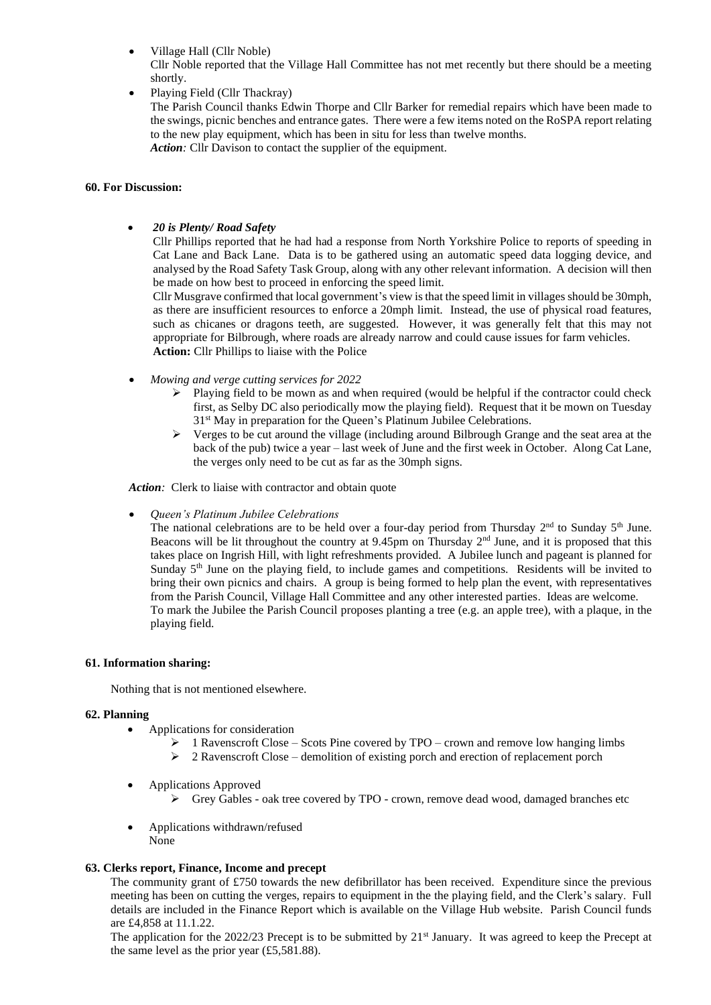• Village Hall (Cllr Noble)

Cllr Noble reported that the Village Hall Committee has not met recently but there should be a meeting shortly.

• Playing Field (Cllr Thackray)

The Parish Council thanks Edwin Thorpe and Cllr Barker for remedial repairs which have been made to the swings, picnic benches and entrance gates. There were a few items noted on the RoSPA report relating to the new play equipment, which has been in situ for less than twelve months. *Action:* Cllr Davison to contact the supplier of the equipment.

#### **60. For Discussion:**

• *20 is Plenty/ Road Safety*

Cllr Phillips reported that he had had a response from North Yorkshire Police to reports of speeding in Cat Lane and Back Lane. Data is to be gathered using an automatic speed data logging device, and analysed by the Road Safety Task Group, along with any other relevant information. A decision will then be made on how best to proceed in enforcing the speed limit.

Cllr Musgrave confirmed that local government's view is that the speed limit in villages should be 30mph, as there are insufficient resources to enforce a 20mph limit. Instead, the use of physical road features, such as chicanes or dragons teeth, are suggested. However, it was generally felt that this may not appropriate for Bilbrough, where roads are already narrow and could cause issues for farm vehicles. **Action:** Cllr Phillips to liaise with the Police

- *Mowing and verge cutting services for 2022*
	- $\triangleright$  Playing field to be mown as and when required (would be helpful if the contractor could check first, as Selby DC also periodically mow the playing field). Request that it be mown on Tuesday 31<sup>st</sup> May in preparation for the Queen's Platinum Jubilee Celebrations.
	- $\triangleright$  Verges to be cut around the village (including around Bilbrough Grange and the seat area at the back of the pub) twice a year – last week of June and the first week in October. Along Cat Lane, the verges only need to be cut as far as the 30mph signs.

*Action:* Clerk to liaise with contractor and obtain quote

• *Queen's Platinum Jubilee Celebrations*

The national celebrations are to be held over a four-day period from Thursday  $2<sup>nd</sup>$  to Sunday  $5<sup>th</sup>$  June. Beacons will be lit throughout the country at 9.45pm on Thursday 2<sup>nd</sup> June, and it is proposed that this takes place on Ingrish Hill, with light refreshments provided. A Jubilee lunch and pageant is planned for Sunday 5th June on the playing field, to include games and competitions. Residents will be invited to bring their own picnics and chairs. A group is being formed to help plan the event, with representatives from the Parish Council, Village Hall Committee and any other interested parties. Ideas are welcome. To mark the Jubilee the Parish Council proposes planting a tree (e.g. an apple tree), with a plaque, in the playing field.

#### **61. Information sharing:**

Nothing that is not mentioned elsewhere.

#### **62. Planning**

- Applications for consideration
	- ➢ 1 Ravenscroft Close Scots Pine covered by TPO crown and remove low hanging limbs
	- $\geq 2$  Ravenscroft Close demolition of existing porch and erection of replacement porch
- Applications Approved
	- $\triangleright$  Grey Gables oak tree covered by TPO crown, remove dead wood, damaged branches etc
- Applications withdrawn/refused None

#### **63. Clerks report, Finance, Income and precept**

The community grant of £750 towards the new defibrillator has been received. Expenditure since the previous meeting has been on cutting the verges, repairs to equipment in the the playing field, and the Clerk's salary. Full details are included in the Finance Report which is available on the Village Hub website. Parish Council funds are £4,858 at 11.1.22.

The application for the 2022/23 Precept is to be submitted by  $21<sup>st</sup>$  January. It was agreed to keep the Precept at the same level as the prior year  $(\text{\textsterling}5,581.88)$ .